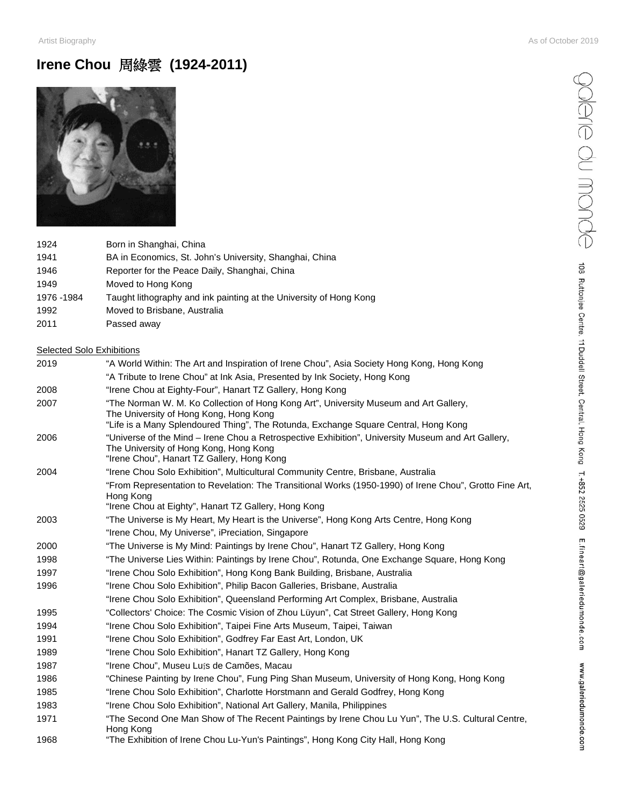Salare du monde

108 Ruttonjee Centre, 11 Duddell Street, Central, Hong Kong T. +852 2525 0529 E.fineart@galeriedumonde.com www.galeriedumonde.com

## **Irene Chou** 周綠雲 **(1924-2011)**



| 1924       | Born in Shanghai, China                                            |
|------------|--------------------------------------------------------------------|
| 1941       | BA in Economics, St. John's University, Shanghai, China            |
| 1946       | Reporter for the Peace Daily, Shanghai, China                      |
| 1949       | Moved to Hong Kong                                                 |
| 1976 -1984 | Taught lithography and ink painting at the University of Hong Kong |
|            |                                                                    |

- Moved to Brisbane, Australia
- Passed away

### Selected Solo Exhibitions

| 2019 | "A World Within: The Art and Inspiration of Irene Chou", Asia Society Hong Kong, Hong Kong                                                                                                                             |
|------|------------------------------------------------------------------------------------------------------------------------------------------------------------------------------------------------------------------------|
|      | "A Tribute to Irene Chou" at Ink Asia, Presented by Ink Society, Hong Kong                                                                                                                                             |
| 2008 | "Irene Chou at Eighty-Four", Hanart TZ Gallery, Hong Kong                                                                                                                                                              |
| 2007 | "The Norman W. M. Ko Collection of Hong Kong Art", University Museum and Art Gallery,<br>The University of Hong Kong, Hong Kong<br>"Life is a Many Splendoured Thing", The Rotunda, Exchange Square Central, Hong Kong |
| 2006 | "Universe of the Mind - Irene Chou a Retrospective Exhibition", University Museum and Art Gallery,<br>The University of Hong Kong, Hong Kong<br>"Irene Chou", Hanart TZ Gallery, Hong Kong                             |
| 2004 | "Irene Chou Solo Exhibition", Multicultural Community Centre, Brisbane, Australia                                                                                                                                      |
|      | "From Representation to Revelation: The Transitional Works (1950-1990) of Irene Chou", Grotto Fine Art,<br>Hong Kong<br>"Irene Chou at Eighty", Hanart TZ Gallery, Hong Kong                                           |
| 2003 | "The Universe is My Heart, My Heart is the Universe", Hong Kong Arts Centre, Hong Kong                                                                                                                                 |
|      | "Irene Chou, My Universe", iPreciation, Singapore                                                                                                                                                                      |
| 2000 | "The Universe is My Mind: Paintings by Irene Chou", Hanart TZ Gallery, Hong Kong                                                                                                                                       |
| 1998 | "The Universe Lies Within: Paintings by Irene Chou", Rotunda, One Exchange Square, Hong Kong                                                                                                                           |
| 1997 | "Irene Chou Solo Exhibition", Hong Kong Bank Building, Brisbane, Australia                                                                                                                                             |
| 1996 | "Irene Chou Solo Exhibition", Philip Bacon Galleries, Brisbane, Australia                                                                                                                                              |
|      | "Irene Chou Solo Exhibition", Queensland Performing Art Complex, Brisbane, Australia                                                                                                                                   |
| 1995 | "Collectors' Choice: The Cosmic Vision of Zhou Lüyun", Cat Street Gallery, Hong Kong                                                                                                                                   |
| 1994 | "Irene Chou Solo Exhibition", Taipei Fine Arts Museum, Taipei, Taiwan                                                                                                                                                  |
| 1991 | "Irene Chou Solo Exhibition", Godfrey Far East Art, London, UK                                                                                                                                                         |
| 1989 | "Irene Chou Solo Exhibition", Hanart TZ Gallery, Hong Kong                                                                                                                                                             |
| 1987 | "Irene Chou", Museu Luís de Camões, Macau                                                                                                                                                                              |
| 1986 | "Chinese Painting by Irene Chou", Fung Ping Shan Museum, University of Hong Kong, Hong Kong                                                                                                                            |
| 1985 | "Irene Chou Solo Exhibition", Charlotte Horstmann and Gerald Godfrey, Hong Kong                                                                                                                                        |
| 1983 | "Irene Chou Solo Exhibition", National Art Gallery, Manila, Philippines                                                                                                                                                |
| 1971 | "The Second One Man Show of The Recent Paintings by Irene Chou Lu Yun", The U.S. Cultural Centre,<br>Hong Kong                                                                                                         |
| 1968 | "The Exhibition of Irene Chou Lu-Yun's Paintings", Hong Kong City Hall, Hong Kong                                                                                                                                      |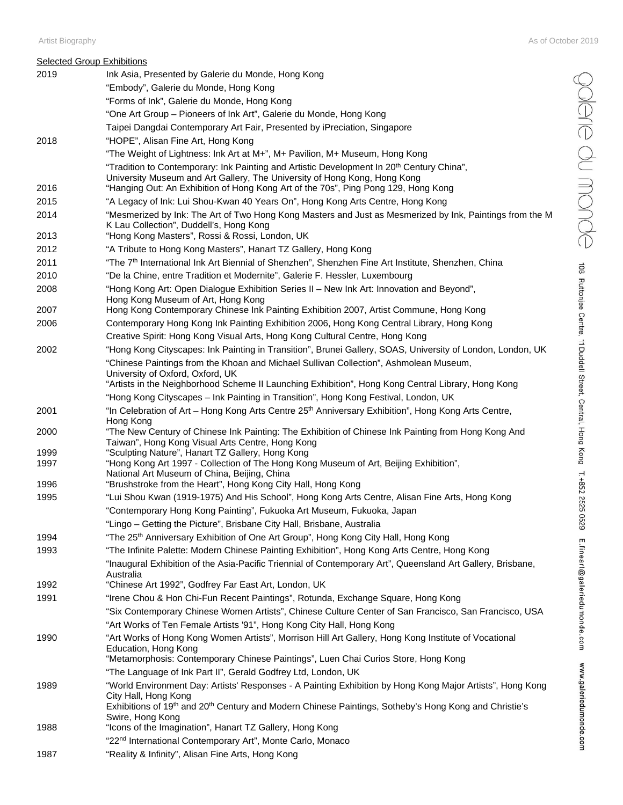#### Artist Biography As of October 2019

|      | <b>Selected Group Exhibitions</b>                                                                                                                                                  |
|------|------------------------------------------------------------------------------------------------------------------------------------------------------------------------------------|
| 2019 | Ink Asia, Presented by Galerie du Monde, Hong Kong                                                                                                                                 |
|      | "Embody", Galerie du Monde, Hong Kong                                                                                                                                              |
|      | "Forms of Ink", Galerie du Monde, Hong Kong                                                                                                                                        |
|      | "One Art Group - Pioneers of Ink Art", Galerie du Monde, Hong Kong                                                                                                                 |
|      | Taipei Dangdai Contemporary Art Fair, Presented by iPreciation, Singapore                                                                                                          |
| 2018 | "HOPE", Alisan Fine Art, Hong Kong                                                                                                                                                 |
|      | "The Weight of Lightness: Ink Art at M+", M+ Pavilion, M+ Museum, Hong Kong                                                                                                        |
|      | "Tradition to Contemporary: Ink Painting and Artistic Development In 20 <sup>th</sup> Century China",<br>University Museum and Art Gallery, The University of Hong Kong, Hong Kong |
| 2016 | "Hanging Out: An Exhibition of Hong Kong Art of the 70s", Ping Pong 129, Hong Kong                                                                                                 |
| 2015 | "A Legacy of Ink: Lui Shou-Kwan 40 Years On", Hong Kong Arts Centre, Hong Kong                                                                                                     |
| 2014 | "Mesmerized by Ink: The Art of Two Hong Kong Masters and Just as Mesmerized by Ink, Paintings from the M                                                                           |
|      | K Lau Collection", Duddell's, Hong Kong                                                                                                                                            |
| 2013 | "Hong Kong Masters", Rossi & Rossi, London, UK                                                                                                                                     |
| 2012 | "A Tribute to Hong Kong Masters", Hanart TZ Gallery, Hong Kong                                                                                                                     |
| 2011 | "The 7 <sup>th</sup> International Ink Art Biennial of Shenzhen", Shenzhen Fine Art Institute, Shenzhen, China                                                                     |
| 2010 | "De la Chine, entre Tradition et Modernite", Galerie F. Hessler, Luxembourg                                                                                                        |
| 2008 | "Hong Kong Art: Open Dialogue Exhibition Series II - New Ink Art: Innovation and Beyond",<br>Hong Kong Museum of Art, Hong Kong                                                    |
| 2007 | Hong Kong Contemporary Chinese Ink Painting Exhibition 2007, Artist Commune, Hong Kong                                                                                             |
| 2006 | Contemporary Hong Kong Ink Painting Exhibition 2006, Hong Kong Central Library, Hong Kong                                                                                          |
|      | Creative Spirit: Hong Kong Visual Arts, Hong Kong Cultural Centre, Hong Kong                                                                                                       |
| 2002 | "Hong Kong Cityscapes: Ink Painting in Transition", Brunei Gallery, SOAS, University of London, London, UK                                                                         |
|      | "Chinese Paintings from the Khoan and Michael Sullivan Collection", Ashmolean Museum,                                                                                              |
|      | University of Oxford, Oxford, UK<br>"Artists in the Neighborhood Scheme II Launching Exhibition", Hong Kong Central Library, Hong Kong                                             |
|      | "Hong Kong Cityscapes - Ink Painting in Transition", Hong Kong Festival, London, UK                                                                                                |
| 2001 | "In Celebration of Art - Hong Kong Arts Centre 25 <sup>th</sup> Anniversary Exhibition", Hong Kong Arts Centre,                                                                    |
|      | Hong Kong                                                                                                                                                                          |
| 2000 | "The New Century of Chinese Ink Painting: The Exhibition of Chinese Ink Painting from Hong Kong And                                                                                |
| 1999 | Taiwan", Hong Kong Visual Arts Centre, Hong Kong<br>"Sculpting Nature", Hanart TZ Gallery, Hong Kong                                                                               |
| 1997 | "Hong Kong Art 1997 - Collection of The Hong Kong Museum of Art, Beijing Exhibition",                                                                                              |
|      | National Art Museum of China, Beijing, China                                                                                                                                       |
| 1996 | "Brushstroke from the Heart", Hong Kong City Hall, Hong Kong                                                                                                                       |
| 1995 | "Lui Shou Kwan (1919-1975) And His School", Hong Kong Arts Centre, Alisan Fine Arts, Hong Kong<br>"Contemporary Hong Kong Painting", Fukuoka Art Museum, Fukuoka, Japan            |
|      | "Lingo - Getting the Picture", Brisbane City Hall, Brisbane, Australia                                                                                                             |
| 1994 | "The 25 <sup>th</sup> Anniversary Exhibition of One Art Group", Hong Kong City Hall, Hong Kong                                                                                     |
| 1993 | "The Infinite Palette: Modern Chinese Painting Exhibition", Hong Kong Arts Centre, Hong Kong                                                                                       |
|      | "Inaugural Exhibition of the Asia-Pacific Triennial of Contemporary Art", Queensland Art Gallery, Brisbane,                                                                        |
|      | Australia                                                                                                                                                                          |
| 1992 | "Chinese Art 1992", Godfrey Far East Art, London, UK                                                                                                                               |
| 1991 | "Irene Chou & Hon Chi-Fun Recent Paintings", Rotunda, Exchange Square, Hong Kong                                                                                                   |
|      | "Six Contemporary Chinese Women Artists", Chinese Culture Center of San Francisco, San Francisco, USA                                                                              |
|      | "Art Works of Ten Female Artists '91", Hong Kong City Hall, Hong Kong                                                                                                              |
| 1990 | "Art Works of Hong Kong Women Artists", Morrison Hill Art Gallery, Hong Kong Institute of Vocational<br>Education, Hong Kong                                                       |
|      | "Metamorphosis: Contemporary Chinese Paintings", Luen Chai Curios Store, Hong Kong                                                                                                 |
|      | "The Language of Ink Part II", Gerald Godfrey Ltd, London, UK                                                                                                                      |
| 1989 | "World Environment Day: Artists' Responses - A Painting Exhibition by Hong Kong Major Artists", Hong Kong                                                                          |
|      | City Hall, Hong Kong                                                                                                                                                               |
|      | Exhibitions of 19 <sup>th</sup> and 20 <sup>th</sup> Century and Modern Chinese Paintings, Sotheby's Hong Kong and Christie's<br>Swire, Hong Kong                                  |
| 1988 | "Icons of the Imagination", Hanart TZ Gallery, Hong Kong                                                                                                                           |
|      | "22 <sup>nd</sup> International Contemporary Art", Monte Carlo, Monaco                                                                                                             |

1987 "Reality & Infinity", Alisan Fine Arts, Hong Kong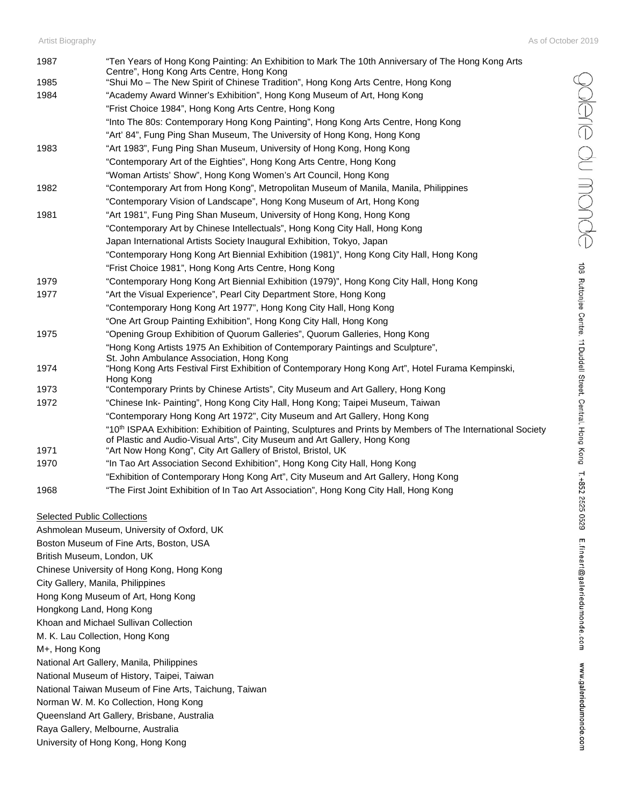| 1987 | "Ten Years of Hong Kong Painting: An Exhibition to Mark The 10th Anniversary of The Hong Kong Arts<br>Centre", Hong Kong Arts Centre, Hong Kong |
|------|-------------------------------------------------------------------------------------------------------------------------------------------------|
| 1985 | "Shui Mo - The New Spirit of Chinese Tradition", Hong Kong Arts Centre, Hong Kong                                                               |
| 1984 | "Academy Award Winner's Exhibition", Hong Kong Museum of Art, Hong Kong                                                                         |
|      | "Frist Choice 1984", Hong Kong Arts Centre, Hong Kong                                                                                           |
|      | "Into The 80s: Contemporary Hong Kong Painting", Hong Kong Arts Centre, Hong Kong                                                               |
|      | "Art' 84", Fung Ping Shan Museum, The University of Hong Kong, Hong Kong                                                                        |
| 1983 | "Art 1983", Fung Ping Shan Museum, University of Hong Kong, Hong Kong                                                                           |
|      | "Contemporary Art of the Eighties", Hong Kong Arts Centre, Hong Kong                                                                            |
|      | "Woman Artists' Show", Hong Kong Women's Art Council, Hong Kong                                                                                 |
| 1982 | "Contemporary Art from Hong Kong", Metropolitan Museum of Manila, Manila, Philippines                                                           |
|      | "Contemporary Vision of Landscape", Hong Kong Museum of Art, Hong Kong                                                                          |
| 1981 | "Art 1981", Fung Ping Shan Museum, University of Hong Kong, Hong Kong                                                                           |
|      | "Contemporary Art by Chinese Intellectuals", Hong Kong City Hall, Hong Kong                                                                     |
|      | Japan International Artists Society Inaugural Exhibition, Tokyo, Japan                                                                          |
|      | "Contemporary Hong Kong Art Biennial Exhibition (1981)", Hong Kong City Hall, Hong Kong                                                         |
|      | "Frist Choice 1981", Hong Kong Arts Centre, Hong Kong                                                                                           |
| 1979 | "Contemporary Hong Kong Art Biennial Exhibition (1979)", Hong Kong City Hall, Hong Kong                                                         |
| 1977 | "Art the Visual Experience", Pearl City Department Store, Hong Kong                                                                             |
|      | "Contemporary Hong Kong Art 1977", Hong Kong City Hall, Hong Kong                                                                               |
|      | "One Art Group Painting Exhibition", Hong Kong City Hall, Hong Kong                                                                             |
| 1975 | "Opening Group Exhibition of Quorum Galleries", Quorum Galleries, Hong Kong                                                                     |
|      | "Hong Kong Artists 1975 An Exhibition of Contemporary Paintings and Sculpture",                                                                 |
|      | St. John Ambulance Association, Hong Kong                                                                                                       |
| 1974 | "Hong Kong Arts Festival First Exhibition of Contemporary Hong Kong Art", Hotel Furama Kempinski,<br>Hong Kong                                  |
| 1973 | "Contemporary Prints by Chinese Artists", City Museum and Art Gallery, Hong Kong                                                                |
| 1972 | "Chinese Ink- Painting", Hong Kong City Hall, Hong Kong; Taipei Museum, Taiwan                                                                  |
|      | "Contemporary Hong Kong Art 1972", City Museum and Art Gallery, Hong Kong                                                                       |
|      | "10 <sup>th</sup> ISPAA Exhibition: Exhibition of Painting, Sculptures and Prints by Members of The International Society                       |
|      | of Plastic and Audio-Visual Arts", City Museum and Art Gallery, Hong Kong                                                                       |
| 1971 | "Art Now Hong Kong", City Art Gallery of Bristol, Bristol, UK                                                                                   |
| 1970 | "In Tao Art Association Second Exhibition", Hong Kong City Hall, Hong Kong                                                                      |
|      | "Exhibition of Contemporary Hong Kong Art", City Museum and Art Gallery, Hong Kong                                                              |
| 1968 | "The First Joint Exhibition of In Tao Art Association", Hong Kong City Hall, Hong Kong                                                          |

#### Selected Public Collections

Ashmolean Museum, University of Oxford, UK Boston Museum of Fine Arts, Boston, USA British Museum, London, UK Chinese University of Hong Kong, Hong Kong City Gallery, Manila, Philippines Hong Kong Museum of Art, Hong Kong Hongkong Land, Hong Kong Khoan and Michael Sullivan Collection M. K. Lau Collection, Hong Kong M+, Hong Kong National Art Gallery, Manila, Philippines National Museum of History, Taipei, Taiwan National Taiwan Museum of Fine Arts, Taichung, Taiwan Norman W. M. Ko Collection, Hong Kong Queensland Art Gallery, Brisbane, Australia Raya Gallery, Melbourne, Australia University of Hong Kong, Hong Kong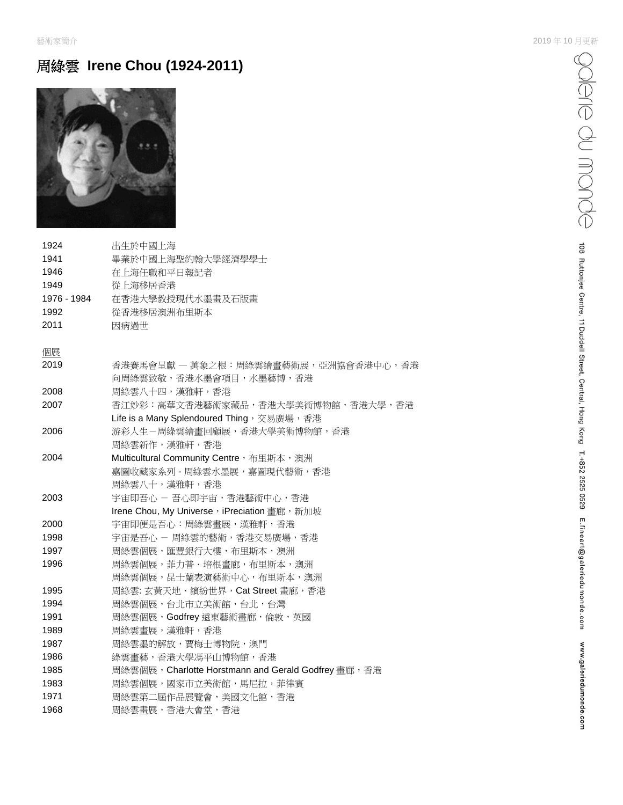# 周綠雲 **Irene Chou (1924-2011)**



| 1924        | 出生於中國上海                                              |
|-------------|------------------------------------------------------|
| 1941        | 畢業於中國上海聖約翰大學經濟學學士                                    |
| 1946        | 在上海任職和平日報記者                                          |
| 1949        | 從上海移居香港                                              |
| 1976 - 1984 | 在香港大學教授現代水墨畫及石版畫                                     |
| 1992        | 從香港移居澳洲布里斯本                                          |
| 2011        | 因病過世                                                 |
| 個展          |                                                      |
| 2019        | 香港賽馬會呈獻 一 萬象之根:周綠雲繪畫藝術展,亞洲協會香港中心,香港                  |
|             | 向周綠雲致敬,香港水墨會項目,水墨藝博,香港                               |
| 2008        | 周綠雲八十四,漢雅軒,香港                                        |
| 2007        | 香江妙彩:高華文香港藝術家藏品,香港大學美術博物館,香港大學,香港                    |
|             | Life is a Many Splendoured Thing, 交易廣場, 香港           |
| 2006        | 游彩人生-周綠雲繪畫回顧展,香港大學美術博物館,香港                           |
|             | 周綠雲新作,漢雅軒,香港                                         |
| 2004        | Multicultural Community Centre, 布里斯本,澳洲              |
|             | 嘉圖收藏家系列 - 周綠雲水墨展,嘉圖現代藝術,香港                           |
|             | 周綠雲八十,漢雅軒,香港                                         |
| 2003        | 宇宙即吾心 - 吾心即宇宙, 香港藝術中心, 香港                            |
|             | Irene Chou, My Universe, iPreciation 畫廊, 新加坡         |
| 2000        | 宇宙即便是吾心:周綠雲畫展,漢雅軒,香港                                 |
| 1998        | 宇宙是吾心 - 周綠雲的藝術, 香港交易廣場, 香港                           |
| 1997        | 周綠雲個展,匯豐銀行大樓,布里斯本,澳洲                                 |
| 1996        | 周綠雲個展,菲力普·培根畫廊,布里斯本,澳洲                               |
|             | 周綠雲個展,昆士蘭表演藝術中心,布里斯本,澳洲                              |
| 1995        | 周綠雲: 玄黃天地、繽紛世界, Cat Street 畫廊, 香港                    |
| 1994        | 周綠雲個展,台北市立美術館,台北,台灣                                  |
| 1991        | 周綠雲個展,Godfrey遠東藝術畫廊,倫敦,英國                            |
| 1989        | 周綠雲畫展,漢雅軒,香港                                         |
| 1987        | 周綠雲墨的解放,賈梅士博物院,澳門                                    |
| 1986        | 綠雲畫藝,香港大學馮平山博物館,香港                                   |
| 1985        | 周綠雲個展, Charlotte Horstmann and Gerald Godfrey 畫廊, 香港 |
| 1983        | 周綠雲個展,國家市立美術館,馬尼拉,菲律賓                                |
| 1971        | 周綠雲第二屆作品展覽會,美國文化館,香港                                 |
| 1968        | 周綠雲畫展,香港大會堂,香港                                       |
|             |                                                      |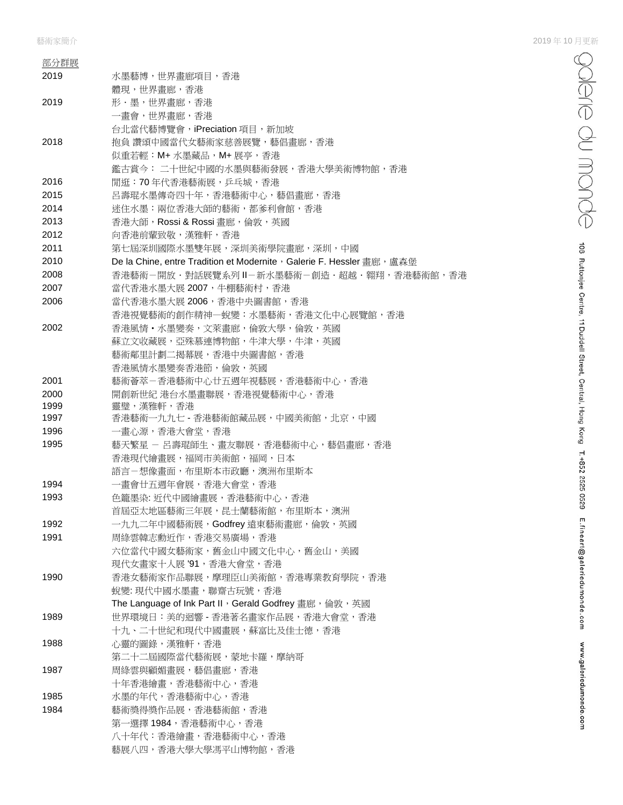| 部分群展         |                                                                       |
|--------------|-----------------------------------------------------------------------|
| 2019         | 水墨藝博,世界畫廊項目,香港                                                        |
|              | 體現,世界畫廊,香港                                                            |
| 2019         | 形・墨,世界畫廊,香港                                                           |
|              | 一書會,世界書廊,香港                                                           |
|              | 台北當代藝博覽會, iPreciation 項目, 新加坡                                         |
| 2018         | 抱負 讚頌中國當代女藝術家慈善展覽,藝倡畫廊,香港                                             |
|              | 似重若輕:M+ 水墨藏品,M+ 展亭,香港                                                 |
|              | 鑑古賞今: 二十世紀中國的水墨與藝術發展,香港大學美術博物館,香港                                     |
| 2016         | 閒逛:70年代香港藝術展, 乒乓城, 香港                                                 |
| 2015         | 呂壽琨水墨傳奇四十年,香港藝術中心,藝倡畫廊,香港                                             |
| 2014         | 迷住水墨:兩位香港大師的藝術,都爹利會館,香港                                               |
| 2013         | 香港大師, Rossi & Rossi 畫廊, 倫敦, 英國                                        |
| 2012         | 向香港前輩致敬,漢雅軒,香港                                                        |
| 2011         | 第七屆深圳國際水墨雙年展,深圳美術學院畫廊,深圳,中國                                           |
| 2010         | De la Chine, entre Tradition et Modernite, Galerie F. Hessler 書廊, 盧森堡 |
| 2008         | 香港藝術-開放‧對話展覽系列Ⅱ-新水墨藝術-創造‧超越‧翱翔,香港藝術館,香港                               |
| 2007         | 當代香港水墨大展 2007,牛棚藝術村,香港                                                |
| 2006         | 當代香港水墨大展 2006, 香港中央圖書館, 香港                                            |
|              | 香港視覺藝術的創作精神一蛻變:水墨藝術,香港文化中心展覽館,香港                                      |
| 2002         | 香港風情・水墨變奏,文萊畫廊,倫敦大學,倫敦,英國                                             |
|              | 蘇立文收藏展,亞殊慕連博物館,牛津大學,牛津,英國                                             |
|              | 藝術鄰里計劃二揭幕展,香港中央圖書館,香港                                                 |
|              | 香港風情水墨變奏香港節,倫敦,英國                                                     |
| 2001         | 藝術薈萃-香港藝術中心廿五週年視藝展,香港藝術中心,香港                                          |
| 2000<br>1999 | 開創新世紀 港台水墨畫聯展,香港視覺藝術中心,香港                                             |
| 1997         | 靈璧,漢雅軒,香港<br>香港藝術一九九七 - 香港藝術館藏品展,中國美術館,北京,中國                          |
| 1996         | 一書心源,香港大會堂,香港                                                         |
| 1995         | 藝天繁星 - 呂壽琨師生、畫友聯展,香港藝術中心,藝倡畫廊,香港                                      |
|              | 香港現代繪畫展,福岡市美術館,福岡,日本                                                  |
|              | 語言-想像畫面,布里斯本市政廳,澳洲布里斯本                                                |
| 1994         | 一畫會廿五週年會展,香港大會堂,香港                                                    |
| 1993         | 色籠墨染: 近代中國繪畫展, 香港藝術中心, 香港                                             |
|              | 首屆亞太地區藝術三年展,昆士蘭藝術館,布里斯本,澳洲                                            |
| 1992         | 一九九二年中國藝術展,Godfrey 遠東藝術畫廊,倫敦,英國                                       |
| 1991         | 周綠雲韓志勳近作,香港交易廣場,香港                                                    |
|              | 六位當代中國女藝術家,舊金山中國文化中心,舊金山,美國                                           |
|              | 現代女書家十人展 '91, 香港大會堂, 香港                                               |
| 1990         | 香港女藝術家作品聯展,摩理臣山美術館,香港專業教育學院,香港                                        |
|              | 蜕變: 現代中國水墨畫, 聯齋古玩號, 香港                                                |
|              | The Language of Ink Part II, Gerald Godfrey 畫廊, 倫敦, 英國                |
| 1989         | 世界環境日:美的迴響 - 香港著名畫家作品展, 香港大會堂, 香港                                     |
|              | 十九、二十世紀和現代中國畫展,蘇富比及佳士德,香港                                             |
| 1988         | 心靈的圖錄,漢雅軒,香港                                                          |
|              | 第二十二屆國際當代藝術展,蒙地卡羅,摩納哥                                                 |
| 1987         | 周綠雲與顧媚畫展,藝倡畫廊,香港                                                      |
|              | 十年香港繪畫,香港藝術中心,香港                                                      |
| 1985         | 水墨的年代,香港藝術中心,香港                                                       |
| 1984         | 藝術獎得獎作品展,香港藝術館,香港                                                     |
|              | 第一選擇 1984,香港藝術中心,香港                                                   |
|              | 八十年代:香港繪畫,香港藝術中心,香港                                                   |
|              | 藝展八四,香港大學大學馮平山博物館,香港                                                  |